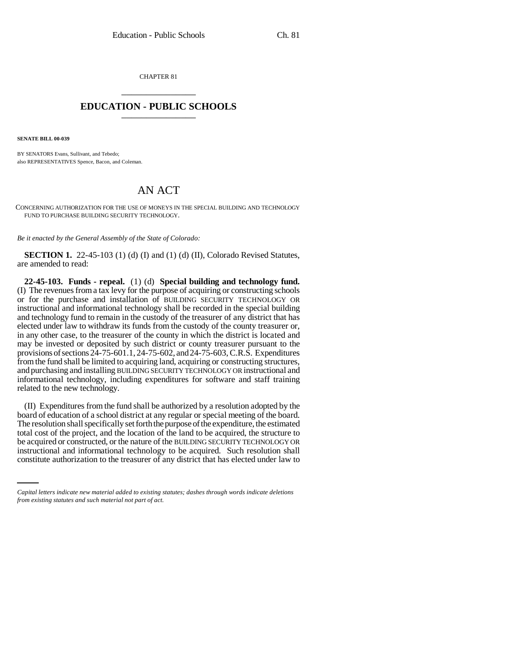CHAPTER 81 \_\_\_\_\_\_\_\_\_\_\_\_\_\_\_

## **EDUCATION - PUBLIC SCHOOLS** \_\_\_\_\_\_\_\_\_\_\_\_\_\_\_

**SENATE BILL 00-039** 

BY SENATORS Evans, Sullivant, and Tebedo; also REPRESENTATIVES Spence, Bacon, and Coleman.

## AN ACT

CONCERNING AUTHORIZATION FOR THE USE OF MONEYS IN THE SPECIAL BUILDING AND TECHNOLOGY FUND TO PURCHASE BUILDING SECURITY TECHNOLOGY.

*Be it enacted by the General Assembly of the State of Colorado:*

**SECTION 1.** 22-45-103 (1) (d) (I) and (1) (d) (II), Colorado Revised Statutes, are amended to read:

**22-45-103. Funds - repeal.** (1) (d) **Special building and technology fund.** (I) The revenues from a tax levy for the purpose of acquiring or constructing schools or for the purchase and installation of BUILDING SECURITY TECHNOLOGY OR instructional and informational technology shall be recorded in the special building and technology fund to remain in the custody of the treasurer of any district that has elected under law to withdraw its funds from the custody of the county treasurer or, in any other case, to the treasurer of the county in which the district is located and may be invested or deposited by such district or county treasurer pursuant to the provisions of sections 24-75-601.1, 24-75-602, and 24-75-603, C.R.S. Expenditures from the fund shall be limited to acquiring land, acquiring or constructing structures, and purchasing and installing BUILDING SECURITY TECHNOLOGY OR instructional and informational technology, including expenditures for software and staff training related to the new technology.

be acquired or constructed, or the nature of the BUILDING SECURITY TECHNOLOGY OR (II) Expenditures from the fund shall be authorized by a resolution adopted by the board of education of a school district at any regular or special meeting of the board. The resolution shall specifically set forth the purpose of the expenditure, the estimated total cost of the project, and the location of the land to be acquired, the structure to instructional and informational technology to be acquired. Such resolution shall constitute authorization to the treasurer of any district that has elected under law to

*Capital letters indicate new material added to existing statutes; dashes through words indicate deletions from existing statutes and such material not part of act.*